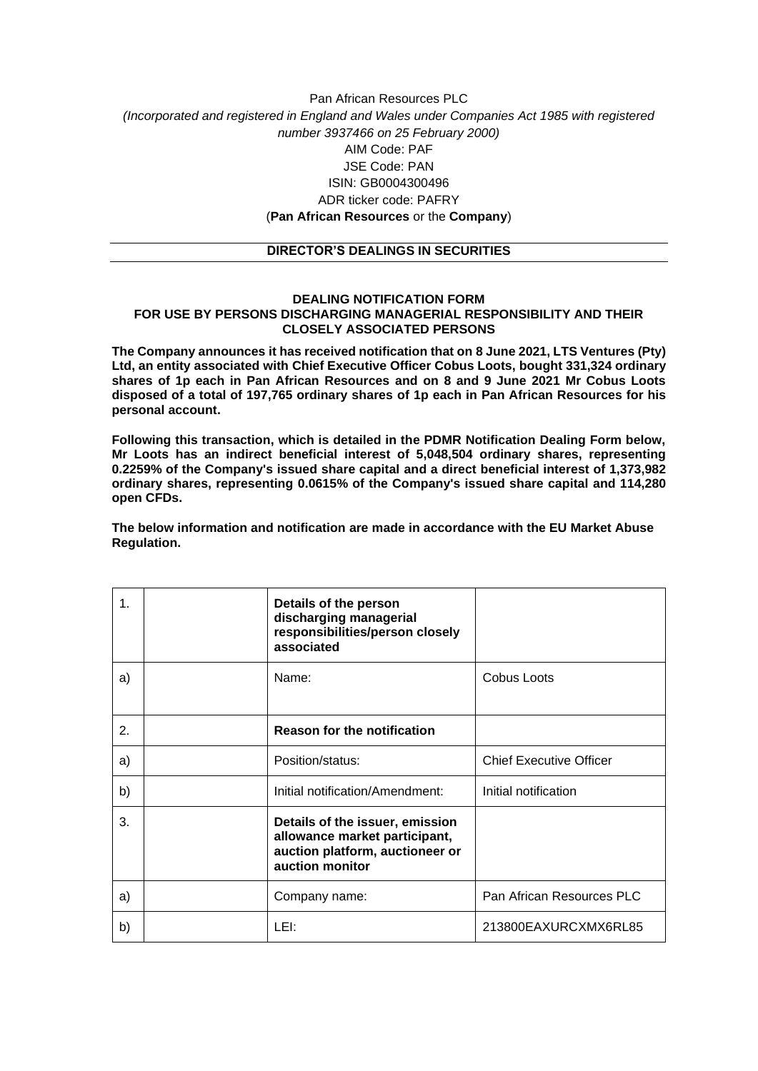## Pan African Resources PLC *(Incorporated and registered in England and Wales under Companies Act 1985 with registered number 3937466 on 25 February 2000)* AIM Code: PAF JSE Code: PAN ISIN: GB0004300496 ADR ticker code: PAFRY (**Pan African Resources** or the **Company**)

## **DIRECTOR'S DEALINGS IN SECURITIES**

## **DEALING NOTIFICATION FORM FOR USE BY PERSONS DISCHARGING MANAGERIAL RESPONSIBILITY AND THEIR CLOSELY ASSOCIATED PERSONS**

**The Company announces it has received notification that on 8 June 2021, LTS Ventures (Pty) Ltd, an entity associated with Chief Executive Officer Cobus Loots, bought 331,324 ordinary shares of 1p each in Pan African Resources and on 8 and 9 June 2021 Mr Cobus Loots disposed of a total of 197,765 ordinary shares of 1p each in Pan African Resources for his personal account.**

**Following this transaction, which is detailed in the PDMR Notification Dealing Form below, Mr Loots has an indirect beneficial interest of 5,048,504 ordinary shares, representing 0.2259% of the Company's issued share capital and a direct beneficial interest of 1,373,982 ordinary shares, representing 0.0615% of the Company's issued share capital and 114,280 open CFDs.**

**The below information and notification are made in accordance with the EU Market Abuse Regulation.**

| $\mathbf 1$    | Details of the person<br>discharging managerial<br>responsibilities/person closely<br>associated                       |                                |
|----------------|------------------------------------------------------------------------------------------------------------------------|--------------------------------|
| a)             | Name:                                                                                                                  | Cobus Loots                    |
| $\mathbf{2}$ . | <b>Reason for the notification</b>                                                                                     |                                |
| a)             | Position/status:                                                                                                       | <b>Chief Executive Officer</b> |
| b)             | Initial notification/Amendment:                                                                                        | Initial notification           |
| 3.             | Details of the issuer, emission<br>allowance market participant,<br>auction platform, auctioneer or<br>auction monitor |                                |
| a)             | Company name:                                                                                                          | Pan African Resources PLC      |
| b)             | LEI:                                                                                                                   | 213800EAXURCXMX6RL85           |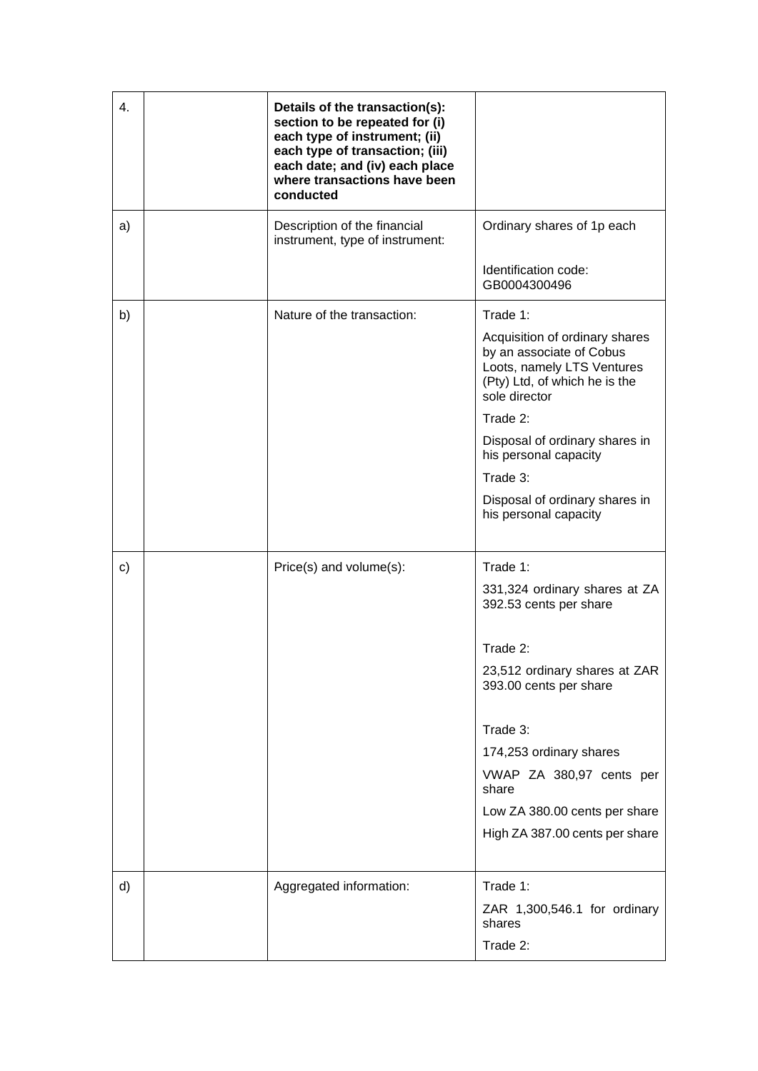| 4. | Details of the transaction(s):<br>section to be repeated for (i)<br>each type of instrument; (ii)<br>each type of transaction; (iii)<br>each date; and (iv) each place<br>where transactions have been<br>conducted |                                                                                                                                            |
|----|---------------------------------------------------------------------------------------------------------------------------------------------------------------------------------------------------------------------|--------------------------------------------------------------------------------------------------------------------------------------------|
| a) | Description of the financial<br>instrument, type of instrument:                                                                                                                                                     | Ordinary shares of 1p each                                                                                                                 |
|    |                                                                                                                                                                                                                     | Identification code:<br>GB0004300496                                                                                                       |
| b) | Nature of the transaction:                                                                                                                                                                                          | Trade 1:                                                                                                                                   |
|    |                                                                                                                                                                                                                     | Acquisition of ordinary shares<br>by an associate of Cobus<br>Loots, namely LTS Ventures<br>(Pty) Ltd, of which he is the<br>sole director |
|    |                                                                                                                                                                                                                     | Trade 2:                                                                                                                                   |
|    |                                                                                                                                                                                                                     | Disposal of ordinary shares in<br>his personal capacity                                                                                    |
|    |                                                                                                                                                                                                                     | Trade 3:                                                                                                                                   |
|    |                                                                                                                                                                                                                     | Disposal of ordinary shares in<br>his personal capacity                                                                                    |
|    |                                                                                                                                                                                                                     |                                                                                                                                            |
| c) | Price(s) and volume(s):                                                                                                                                                                                             | Trade 1:                                                                                                                                   |
|    |                                                                                                                                                                                                                     | 331,324 ordinary shares at ZA<br>392.53 cents per share                                                                                    |
|    |                                                                                                                                                                                                                     | Trade 2:                                                                                                                                   |
|    |                                                                                                                                                                                                                     | 23,512 ordinary shares at ZAR<br>393.00 cents per share                                                                                    |
|    |                                                                                                                                                                                                                     | Trade 3:                                                                                                                                   |
|    |                                                                                                                                                                                                                     | 174,253 ordinary shares                                                                                                                    |
|    |                                                                                                                                                                                                                     | VWAP ZA 380,97 cents per<br>share                                                                                                          |
|    |                                                                                                                                                                                                                     | Low ZA 380.00 cents per share                                                                                                              |
|    |                                                                                                                                                                                                                     | High ZA 387.00 cents per share                                                                                                             |
| d) | Aggregated information:                                                                                                                                                                                             | Trade 1:                                                                                                                                   |
|    |                                                                                                                                                                                                                     | ZAR 1,300,546.1 for ordinary<br>shares                                                                                                     |
|    |                                                                                                                                                                                                                     | Trade 2:                                                                                                                                   |